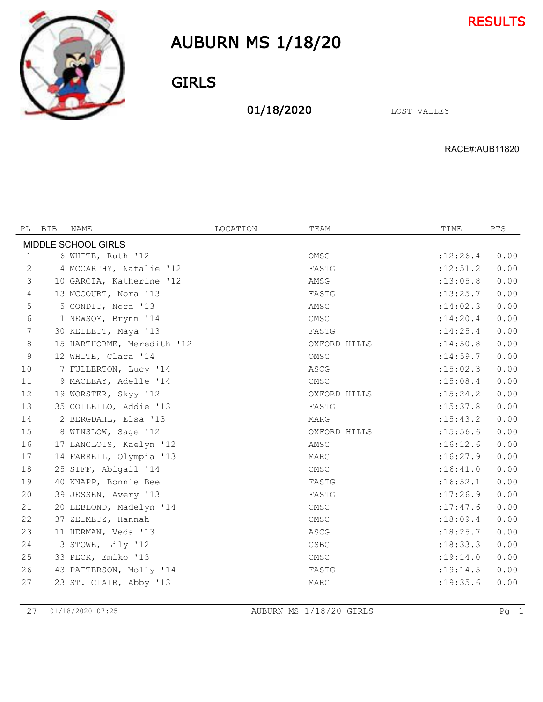



### GIRLS

01/18/2020 LOST VALLEY

RACE#:AUB11820

| PL                  | BIB | NAME                       | LOCATION | TEAM         | TIME       | PTS  |  |  |
|---------------------|-----|----------------------------|----------|--------------|------------|------|--|--|
| MIDDLE SCHOOL GIRLS |     |                            |          |              |            |      |  |  |
| 1                   |     | 6 WHITE, Ruth '12          |          | OMSG         | :12:26.4   | 0.00 |  |  |
| 2                   |     | 4 MCCARTHY, Natalie '12    |          | FASTG        | : 12: 51.2 | 0.00 |  |  |
| $\mathcal{S}$       |     | 10 GARCIA, Katherine '12   |          | AMSG         | : 13:05.8  | 0.00 |  |  |
| $\overline{4}$      |     | 13 MCCOURT, Nora '13       |          | FASTG        | : 13: 25.7 | 0.00 |  |  |
| 5                   |     | 5 CONDIT, Nora '13         |          | AMSG         | :14:02.3   | 0.00 |  |  |
| 6                   |     | 1 NEWSOM, Brynn '14        |          | CMSC         | : 14:20.4  | 0.00 |  |  |
| 7                   |     | 30 KELLETT, Maya '13       |          | FASTG        | : 14: 25.4 | 0.00 |  |  |
| 8                   |     | 15 HARTHORME, Meredith '12 |          | OXFORD HILLS | :14:50.8   | 0.00 |  |  |
| 9                   |     | 12 WHITE, Clara '14        |          | OMSG         | : 14:59.7  | 0.00 |  |  |
| 10                  |     | 7 FULLERTON, Lucy '14      |          | ASCG         | : 15:02.3  | 0.00 |  |  |
| 11                  |     | 9 MACLEAY, Adelle '14      |          | CMSC         | : 15:08.4  | 0.00 |  |  |
| 12                  |     | 19 WORSTER, Skyy '12       |          | OXFORD HILLS | : 15: 24.2 | 0.00 |  |  |
| 13                  |     | 35 COLLELLO, Addie '13     |          | FASTG        | : 15: 37.8 | 0.00 |  |  |
| 14                  |     | 2 BERGDAHL, Elsa '13       |          | MARG         | : 15: 43.2 | 0.00 |  |  |
| 15                  |     | 8 WINSLOW, Sage '12        |          | OXFORD HILLS | : 15:56.6  | 0.00 |  |  |
| 16                  |     | 17 LANGLOIS, Kaelyn '12    |          | AMSG         | :16:12.6   | 0.00 |  |  |
| 17                  |     | 14 FARRELL, Olympia '13    |          | MARG         | :16:27.9   | 0.00 |  |  |
| 18                  |     | 25 SIFF, Abigail '14       |          | CMSC         | :16:41.0   | 0.00 |  |  |
| 19                  |     | 40 KNAPP, Bonnie Bee       |          | FASTG        | :16:52.1   | 0.00 |  |  |
| 20                  |     | 39 JESSEN, Avery '13       |          | FASTG        | :17:26.9   | 0.00 |  |  |
| 21                  |     | 20 LEBLOND, Madelyn '14    |          | CMSC         | :17:47.6   | 0.00 |  |  |
| 22                  |     | 37 ZEIMETZ, Hannah         |          | CMSC         | :18:09.4   | 0.00 |  |  |
| 23                  |     | 11 HERMAN, Veda '13        |          | ASCG         | :18:25.7   | 0.00 |  |  |
| 24                  |     | 3 STOWE, Lily '12          |          | <b>CSBG</b>  | :18:33.3   | 0.00 |  |  |
| 25                  |     | 33 PECK, Emiko '13         |          | CMSC         | : 19:14.0  | 0.00 |  |  |
| 26                  |     | 43 PATTERSON, Molly '14    |          | FASTG        | : 19:14.5  | 0.00 |  |  |
| 27                  |     | 23 ST. CLAIR, Abby '13     |          | <b>MARG</b>  | : 19: 35.6 | 0.00 |  |  |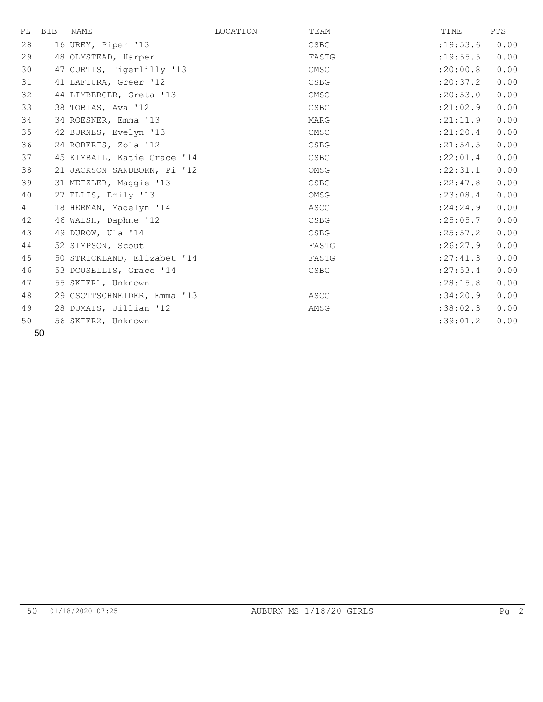|    | PL BIB | NAME                        | LOCATION | TEAM        | TIME       | PTS  |
|----|--------|-----------------------------|----------|-------------|------------|------|
| 28 |        | 16 UREY, Piper '13          |          | <b>CSBG</b> | : 19: 53.6 | 0.00 |
| 29 |        | 48 OLMSTEAD, Harper         |          | FASTG       | : 19: 55.5 | 0.00 |
| 30 |        | 47 CURTIS, Tigerlilly '13   |          | CMSC        | :20:00.8   | 0.00 |
| 31 |        | 41 LAFIURA, Greer '12       |          | <b>CSBG</b> | : 20: 37.2 | 0.00 |
| 32 |        | 44 LIMBERGER, Greta '13     |          | CMSC        | :20:53.0   | 0.00 |
| 33 |        | 38 TOBIAS, Ava '12          |          | <b>CSBG</b> | : 21:02.9  | 0.00 |
| 34 |        | 34 ROESNER, Emma '13        |          | MARG        | : 21: 11.9 | 0.00 |
| 35 |        | 42 BURNES, Evelyn '13       |          | CMSC        | : 21: 20.4 | 0.00 |
| 36 |        | 24 ROBERTS, Zola '12        |          | CSBG        | : 21:54.5  | 0.00 |
| 37 |        | 45 KIMBALL, Katie Grace '14 |          | <b>CSBG</b> | :22:01.4   | 0.00 |
| 38 |        | 21 JACKSON SANDBORN, Pi '12 |          | OMSG        | :22:31.1   | 0.00 |
| 39 |        | 31 METZLER, Maggie '13      |          | <b>CSBG</b> | :22:47.8   | 0.00 |
| 40 |        | 27 ELLIS, Emily '13         |          | OMSG        | : 23:08.4  | 0.00 |
| 41 |        | 18 HERMAN, Madelyn '14      |          | ASCG        | : 24:24.9  | 0.00 |
| 42 |        | 46 WALSH, Daphne '12        |          | CSBG        | : 25:05.7  | 0.00 |
| 43 |        | 49 DUROW, Ula '14           |          | CSBG        | : 25:57.2  | 0.00 |
| 44 |        | 52 SIMPSON, Scout           |          | FASTG       | :26:27.9   | 0.00 |
| 45 |        | 50 STRICKLAND, Elizabet '14 |          | FASTG       | : 27: 41.3 | 0.00 |
| 46 |        | 53 DCUSELLIS, Grace '14     |          | <b>CSBG</b> | : 27: 53.4 | 0.00 |
| 47 |        | 55 SKIER1, Unknown          |          |             | : 28:15.8  | 0.00 |
| 48 |        | 29 GSOTTSCHNEIDER, Emma '13 |          | ASCG        | :34:20.9   | 0.00 |
| 49 |        | 28 DUMAIS, Jillian '12      |          | AMSG        | :38:02.3   | 0.00 |
| 50 |        | 56 SKIER2, Unknown          |          |             | :39:01.2   | 0.00 |
|    |        |                             |          |             |            |      |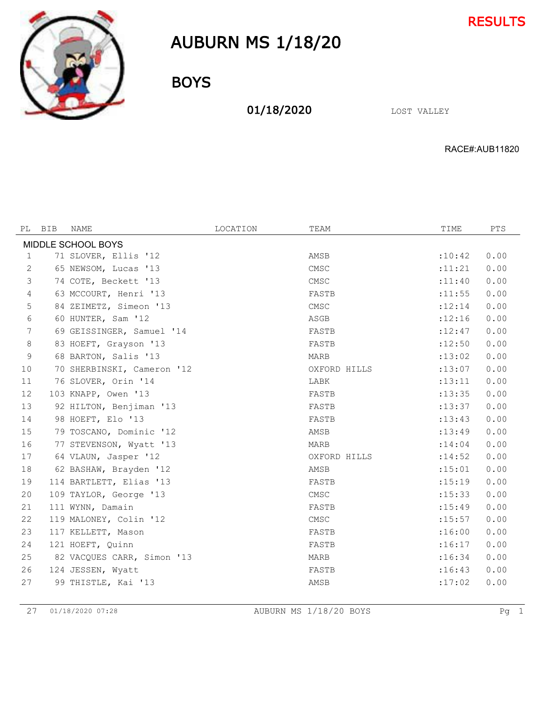



BOYS

01/18/2020 LOST VALLEY

RACE#:AUB11820

| PL             | BIB                | <b>NAME</b>                | LOCATION | TEAM         | TIME     | PTS  |  |  |  |  |
|----------------|--------------------|----------------------------|----------|--------------|----------|------|--|--|--|--|
|                | MIDDLE SCHOOL BOYS |                            |          |              |          |      |  |  |  |  |
| 1              |                    | 71 SLOVER, Ellis '12       |          | AMSB         | :10:42   | 0.00 |  |  |  |  |
| 2              |                    | 65 NEWSOM, Lucas '13       |          | CMSC         | : 11:21  | 0.00 |  |  |  |  |
| $\mathfrak{Z}$ |                    | 74 COTE, Beckett '13       |          | CMSC         | : 11:40  | 0.00 |  |  |  |  |
| $\overline{4}$ |                    | 63 MCCOURT, Henri '13      |          | FASTB        | : 11:55  | 0.00 |  |  |  |  |
| 5              |                    | 84 ZEIMETZ, Simeon '13     |          | CMSC         | : 12:14  | 0.00 |  |  |  |  |
| 6              |                    | 60 HUNTER, Sam '12         |          | ASGB         | :12:16   | 0.00 |  |  |  |  |
| 7              |                    | 69 GEISSINGER, Samuel '14  |          | FASTB        | :12:47   | 0.00 |  |  |  |  |
| 8              |                    | 83 HOEFT, Grayson '13      |          | FASTB        | :12:50   | 0.00 |  |  |  |  |
| 9              |                    | 68 BARTON, Salis '13       |          | MARB         | : 13:02  | 0.00 |  |  |  |  |
| 10             |                    | 70 SHERBINSKI, Cameron '12 |          | OXFORD HILLS | : 13:07  | 0.00 |  |  |  |  |
| 11             |                    | 76 SLOVER, Orin '14        |          | LABK         | : 13:11  | 0.00 |  |  |  |  |
| 12             |                    | 103 KNAPP, Owen '13        |          | FASTB        | : 13:35  | 0.00 |  |  |  |  |
| 13             |                    | 92 HILTON, Benjiman '13    |          | FASTB        | : 13: 37 | 0.00 |  |  |  |  |
| 14             |                    | 98 HOEFT, Elo '13          |          | FASTB        | : 13: 43 | 0.00 |  |  |  |  |
| 15             |                    | 79 TOSCANO, Dominic '12    |          | AMSB         | : 13:49  | 0.00 |  |  |  |  |
| 16             |                    | 77 STEVENSON, Wyatt '13    |          | <b>MARB</b>  | : 14:04  | 0.00 |  |  |  |  |
| 17             |                    | 64 VLAUN, Jasper '12       |          | OXFORD HILLS | : 14:52  | 0.00 |  |  |  |  |
| 18             |                    | 62 BASHAW, Brayden '12     |          | AMSB         | : 15:01  | 0.00 |  |  |  |  |
| 19             |                    | 114 BARTLETT, Elias '13    |          | FASTB        | : 15:19  | 0.00 |  |  |  |  |
| 20             |                    | 109 TAYLOR, George '13     |          | CMSC         | : 15:33  | 0.00 |  |  |  |  |
| 21             |                    | 111 WYNN, Damain           |          | FASTB        | : 15:49  | 0.00 |  |  |  |  |
| 22             |                    | 119 MALONEY, Colin '12     |          | CMSC         | : 15:57  | 0.00 |  |  |  |  |
| 23             |                    | 117 KELLETT, Mason         |          | FASTB        | :16:00   | 0.00 |  |  |  |  |
| 24             |                    | 121 HOEFT, Ouinn           |          | FASTB        | : 16:17  | 0.00 |  |  |  |  |
| 25             |                    | 82 VACQUES CARR, Simon '13 |          | <b>MARB</b>  | :16:34   | 0.00 |  |  |  |  |
| 26             |                    | 124 JESSEN, Wyatt          |          | FASTB        | :16:43   | 0.00 |  |  |  |  |
| 27             |                    | 99 THISTLE, Kai '13        |          | AMSB         | :17:02   | 0.00 |  |  |  |  |

01/18/2020 07:28 AUBURN MS 1/18/20 BOYS Pg 1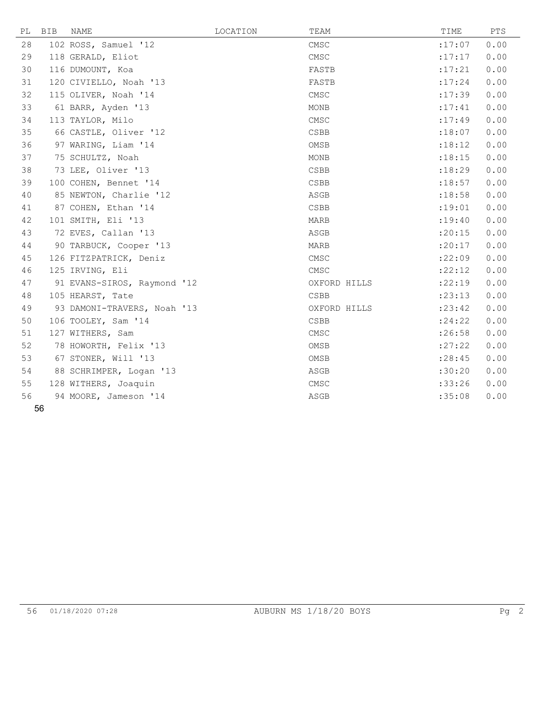| PL | BIB | NAME                        | LOCATION | TEAM            | TIME    | PTS  |
|----|-----|-----------------------------|----------|-----------------|---------|------|
| 28 |     | 102 ROSS, Samuel '12        |          | CMSC            | :17:07  | 0.00 |
| 29 |     | 118 GERALD, Eliot           |          | CMSC            | :17:17  | 0.00 |
| 30 |     | 116 DUMOUNT, Koa            |          | FASTB           | : 17:21 | 0.00 |
| 31 |     | 120 CIVIELLO, Noah '13      |          | FASTB           | : 17:24 | 0.00 |
| 32 |     | 115 OLIVER, Noah '14        |          | CMSC            | :17:39  | 0.00 |
| 33 |     | 61 BARR, Ayden '13          |          | MONB            | : 17:41 | 0.00 |
| 34 |     | 113 TAYLOR, Milo            |          | CMSC            | : 17:49 | 0.00 |
| 35 |     | 66 CASTLE, Oliver '12       |          | CSBB            | : 18:07 | 0.00 |
| 36 |     | 97 WARING, Liam '14         |          | OMSB            | :18:12  | 0.00 |
| 37 |     | 75 SCHULTZ, Noah            |          | MONB            | : 18:15 | 0.00 |
| 38 |     | 73 LEE, Oliver '13          |          | <b>CSBB</b>     | :18:29  | 0.00 |
| 39 |     | 100 COHEN, Bennet '14       |          | CSBB            | : 18:57 | 0.00 |
| 40 |     | 85 NEWTON, Charlie '12      |          | ASGB            | :18:58  | 0.00 |
| 41 |     | 87 COHEN, Ethan '14         |          | $\texttt{CSBB}$ | : 19:01 | 0.00 |
| 42 |     | 101 SMITH, Eli '13          |          | <b>MARB</b>     | : 19:40 | 0.00 |
| 43 |     | 72 EVES, Callan '13         |          | ASGB            | : 20:15 | 0.00 |
| 44 |     | 90 TARBUCK, Cooper '13      |          | <b>MARB</b>     | : 20:17 | 0.00 |
| 45 |     | 126 FITZPATRICK, Deniz      |          | CMSC            | :22:09  | 0.00 |
| 46 |     | 125 IRVING, Eli             |          | CMSC            | : 22:12 | 0.00 |
| 47 |     | 91 EVANS-SIROS, Raymond '12 |          | OXFORD HILLS    | :22:19  | 0.00 |
| 48 |     | 105 HEARST, Tate            |          | <b>CSBB</b>     | : 23:13 | 0.00 |
| 49 |     | 93 DAMONI-TRAVERS, Noah '13 |          | OXFORD HILLS    | : 23:42 | 0.00 |
| 50 |     | 106 TOOLEY, Sam '14         |          | CSBB            | : 24:22 | 0.00 |
| 51 |     | 127 WITHERS, Sam            |          | CMSC            | :26:58  | 0.00 |
| 52 |     | 78 HOWORTH, Felix '13       |          | OMSB            | : 27:22 | 0.00 |
| 53 |     | 67 STONER, Will '13         |          | OMSB            | : 28:45 | 0.00 |
| 54 |     | 88 SCHRIMPER, Logan '13     |          | ASGB            | :30:20  | 0.00 |
| 55 |     | 128 WITHERS, Joaquin        |          | CMSC            | :33:26  | 0.00 |
| 56 |     | 94 MOORE, Jameson '14       |          | ASGB            | :35:08  | 0.00 |
|    | EG. |                             |          |                 |         |      |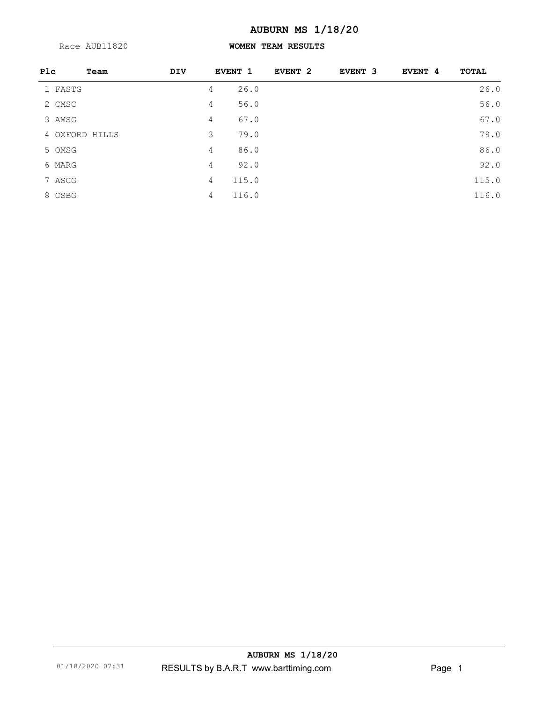Race AUB11820

### **WOMEN TEAM RESULTS**

| Plc     | Team           | <b>DIV</b> |   | <b>EVENT 1</b> | EVENT <sub>2</sub> | EVENT 3 | EVENT 4 | <b>TOTAL</b> |
|---------|----------------|------------|---|----------------|--------------------|---------|---------|--------------|
| 1 FASTG |                |            | 4 | 26.0           |                    |         |         | 26.0         |
| 2 CMSC  |                |            | 4 | 56.0           |                    |         |         | 56.0         |
| 3 AMSG  |                |            | 4 | 67.0           |                    |         |         | 67.0         |
|         | 4 OXFORD HILLS |            | 3 | 79.0           |                    |         |         | 79.0         |
| 5 OMSG  |                |            | 4 | 86.0           |                    |         |         | 86.0         |
| 6 MARG  |                |            | 4 | 92.0           |                    |         |         | 92.0         |
| 7 ASCG  |                |            | 4 | 115.0          |                    |         |         | 115.0        |
| 8 CSBG  |                |            | 4 | 116.0          |                    |         |         | 116.0        |